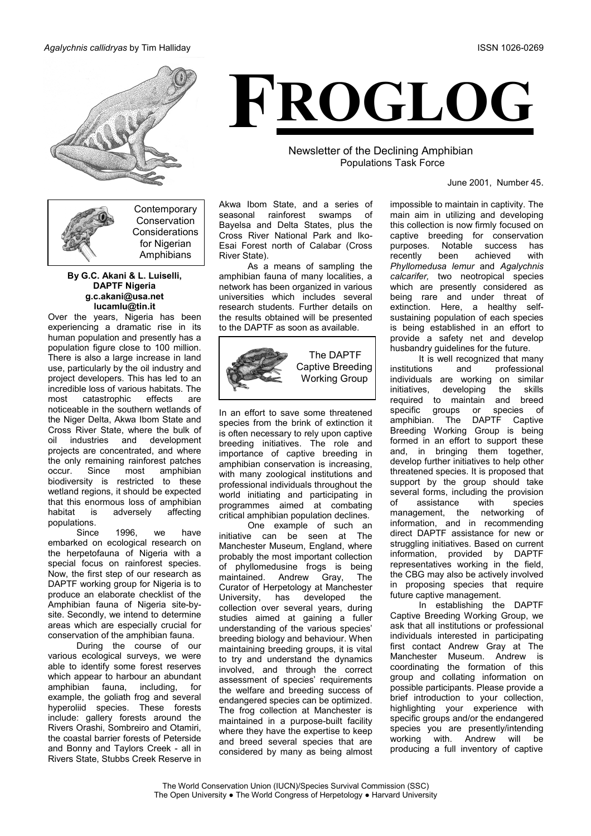### Agalychnis callidryas by Tim Halliday



Contemporary Conservation Considerations for Nigerian Amphibians

### By G.C. Akani & L. Luiselli, **DAPTF Nigeria** g.c.akani@usa.net lucamlu@tin.it

Over the years, Nigeria has been experiencing a dramatic rise in its human population and presently has a population figure close to 100 million. There is also a large increase in land use, particularly by the oil industry and project developers. This has led to an incredible loss of various habitats. The catastrophic effects most are noticeable in the southern wetlands of the Niger Delta, Akwa Ibom State and Cross River State, where the bulk of industries and development oil projects are concentrated, and where the only remaining rainforest patches OCCLID Since most amphibian biodiversity is restricted to these wetland regions, it should be expected that this enormous loss of amphibian habitat is adversely affecting populations.

1996. we Since have embarked on ecological research on the herpetofauna of Nigeria with a special focus on rainforest species. Now, the first step of our research as DAPTF working group for Nigeria is to produce an elaborate checklist of the Amphibian fauna of Nigeria site-bysite. Secondly, we intend to determine areas which are especially crucial for conservation of the amphibian fauna.

During the course of our various ecological surveys, we were able to identify some forest reserves which appear to harbour an abundant including, amphibian fauna, for example, the goliath frog and several hyperoliid species. These forests include: gallery forests around the Rivers Orashi, Sombreiro and Otamiri, the coastal barrier forests of Peterside and Bonny and Taylors Creek - all in Rivers State, Stubbs Creek Reserve in



Newsletter of the Declining Amphibian **Populations Task Force** 

June 2001, Number 45.

Akwa Ibom State, and a series of seasonal rainforest swamps of Bayelsa and Delta States, plus the Cross River National Park and Iko-Esai Forest north of Calabar (Cross River State).

As a means of sampling the amphibian fauna of many localities, a network has been organized in various universities which includes several research students. Further details on the results obtained will be presented to the DAPTF as soon as available.



In an effort to save some threatened species from the brink of extinction it is often necessary to rely upon captive breeding initiatives. The role and importance of captive breeding in amphibian conservation is increasing, with many zoological institutions and professional individuals throughout the world initiating and participating in programmes aimed at combating critical amphibian population declines.

One example of such an initiative can be seen at The Manchester Museum, England, where probably the most important collection of phyllomedusine frogs is being maintained. Andrew Grav. The Curator of Herpetology at Manchester University, has developed the collection over several years, during studies aimed at gaining a fuller understanding of the various species' breeding biology and behaviour. When maintaining breeding groups, it is vital to try and understand the dynamics involved, and through the correct assessment of species' requirements the welfare and breeding success of endangered species can be optimized. The frog collection at Manchester is maintained in a purpose-built facility where they have the expertise to keep and breed several species that are considered by many as being almost impossible to maintain in captivity. The main aim in utilizing and developing this collection is now firmly focused on captive breeding for conservation purposes. Notable success has recently been achieved with Phyllomedusa lemur and Agalychnis calcarifer, two neotropical species which are presently considered as being rare and under threat of extinction. Here, a healthy selfsustaining population of each species is being established in an effort to provide a safety net and develop husbandry quidelines for the future.

It is well recognized that many professional institutions and individuals are working on similar initiatives, developing the skills required to maintain and breed specific groups or species of amphibian. The DAPTF Captive Breeding Working Group is being formed in an effort to support these and, in bringing them together, develop further initiatives to help other threatened species. It is proposed that support by the group should take several forms, including the provision Ωf assistance with species management, the networking of information, and in recommending direct DAPTF assistance for new or struggling initiatives. Based on current information, provided by DAPTF representatives working in the field, the CBG may also be actively involved in proposing species that require future captive management.

In establishing the DAPTF Captive Breeding Working Group, we ask that all institutions or professional individuals interested in participating first contact Andrew Gray at The Manchester Museum. Andrew is coordinating the formation of this group and collating information on possible participants. Please provide a brief introduction to your collection, highlighting your experience with specific groups and/or the endangered species you are presently/intending with. Andrew will working he producing a full inventory of captive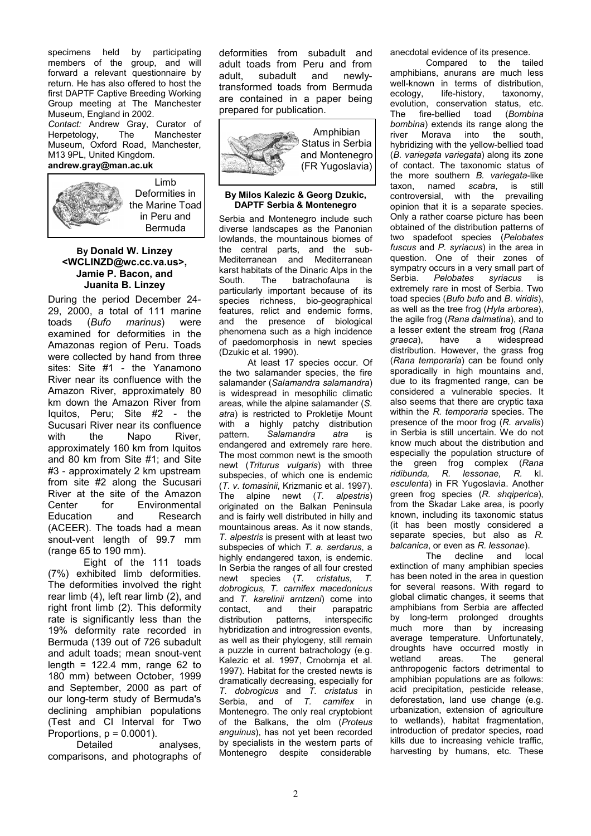specimens held by participating members of the group, and will forward a relevant questionnaire by return. He has also offered to host the first DAPTF Captive Breeding Working Group meeting at The Manchester Museum, England in 2002.

Contact: Andrew Gray, Curator of Herpetology, The Manchester Museum, Oxford Road. Manchester. M13 9PL, United Kingdom. andrew.gray@man.ac.uk



Deformities in the Marine Toad in Peru and **Bermuda** 

### **By Donald W. Linzey** <WCLINZD@wc.cc.va.us>, Jamie P. Bacon, and Juanita B. Linzey

During the period December 24-29. 2000. a total of 111 marine toads (Bufo marinus) were examined for deformities in the Amazonas region of Peru. Toads were collected by hand from three sites: Site #1 - the Yanamono River near its confluence with the Amazon River, approximately 80 km down the Amazon River from Iquitos, Peru; Site #2 - the Sucusari River near its confluence with the Napo River approximately 160 km from Iquitos and 80 km from Site #1; and Site #3 - approximately 2 km upstream from site #2 along the Sucusari River at the site of the Amazon Center for Environmental Education and Research (ACEER). The toads had a mean snout-vent length of 99.7 mm (range 65 to 190 mm).

Eight of the 111 toads (7%) exhibited limb deformities. The deformities involved the right rear limb (4), left rear limb (2), and right front limb (2). This deformity rate is significantly less than the 19% deformity rate recorded in Bermuda (139 out of 726 subadult and adult toads; mean snout-vent length =  $122.4$  mm, range 62 to 180 mm) between October, 1999 and September, 2000 as part of our long-term study of Bermuda's declining amphibian populations (Test and CI Interval for Two Proportions,  $p = 0.0001$ ).

Detailed analyses. comparisons, and photographs of deformities from subadult and adult toads from Peru and from adult. subadult and newlvtransformed toads from Bermuda are contained in a paper being prepared for publication.



### By Milos Kalezic & Georg Dzukic, **DAPTF Serbia & Montenegro**

Serbia and Montenegro include such diverse landscapes as the Panonian lowlands, the mountainous biomes of the central parts, and the sub-Mediterranean and Mediterranean karst habitats of the Dinaric Alps in the batrachofauna South **The** is particularly important because of its species richness, bio-geographical features, relict and endemic forms, and the presence of biological phenomena such as a high incidence of paedomorphosis in newt species (Dzukic et al. 1990).

At least 17 species occur. Of the two salamander species, the fire salamander (Salamandra salamandra) is widespread in mesophilic climatic areas, while the alpine salamander (S. atra) is restricted to Prokletije Mount with a highly patchy distribution nattern. Salamandra atra is endangered and extremely rare here. The most common newt is the smooth newt (Triturus vulgaris) with three subspecies, of which one is endemic (T. v. tomasinii. Krizmanic et al. 1997). The alpine newt  $(T.$  alpestris) originated on the Balkan Peninsula and is fairly well distributed in hilly and mountainous areas. As it now stands, T. alpestris is present with at least two subspecies of which T. a. serdarus, a highly endangered taxon, is endemic. In Serbia the ranges of all four crested newt species (T. cristatus,  $\tau$ dobrogicus. T. carnifex macedonicus and T. karelinii arntzeni) come into contact, and their parapatric distribution patterns, interspecific hybridization and introgression events, as well as their phylogeny, still remain a puzzle in current batrachology (e.g. Kalezic et al. 1997. Crnobrnia et al. 1997). Habitat for the crested newts is dramatically decreasing, especially for T. dobrogicus and T. cristatus in<br>Serbia, and of T. cristatus in Montenegro. The only real cryptobiont of the Balkans, the olm (Proteus anguinus), has not yet been recorded by specialists in the western parts of Montenegro despite considerable

anecdotal evidence of its presence.

Compared to the tailed amphibians, anurans are much less well-known in terms of distribution. ecology, life-history, taxonomy, evolution, conservation status, etc. fire-bellied toad (Bombina **The** bombina) extends its range along the river Morava into the south hybridizing with the yellow-bellied toad (B. variegata variegata) along its zone of contact. The taxonomic status of the more southern B. variegata-like taxon, named scabra. is still controversial, with the prevailing opinion that it is a separate species. Only a rather coarse picture has been obtained of the distribution patterns of two spadefoot species (Pelobates fuscus and P. syriacus) in the area in question. One of their zones of sympatry occurs in a very small part of Serbia. Pelobates syriacus is extremely rare in most of Serbia. Two toad species (Bufo bufo and B. viridis). as well as the tree frog (Hyla arborea), the agile frog (Rana dalmatina), and to a lesser extent the stream frog (Rana graeca). have a widespread distribution. However, the grass frog (Rana temporaria) can be found only sporadically in high mountains and, due to its fragmented range, can be considered a vulnerable species. It also seems that there are cryptic taxa within the R. temporaria species. The presence of the moor frog (R. arvalis) in Serbia is still uncertain. We do not know much about the distribution and especially the population structure of the green frog complex (Rana ridibunda. R. lessonae. R. kl. esculenta) in FR Yugoslavia. Another green frog species (R. shqiperica), from the Skadar Lake area, is poorly known, including its taxonomic status (it has been mostly considered a separate species, but also as R. balcanica, or even as R. lessonae).

The decline and local extinction of many amphibian species has been noted in the area in question for several reasons. With regard to global climatic changes, it seems that amphibians from Serbia are affected by long-term prolonged droughts much more than by increasing average temperature. Unfortunately. droughts have occurred mostly in general wetland areas. The anthropogenic factors detrimental to amphibian populations are as follows: acid precipitation, pesticide release, deforestation, land use change (e.g. urbanization, extension of agriculture to wetlands), habitat fragmentation, introduction of predator species, road kills due to increasing vehicle traffic, harvesting by humans, etc. These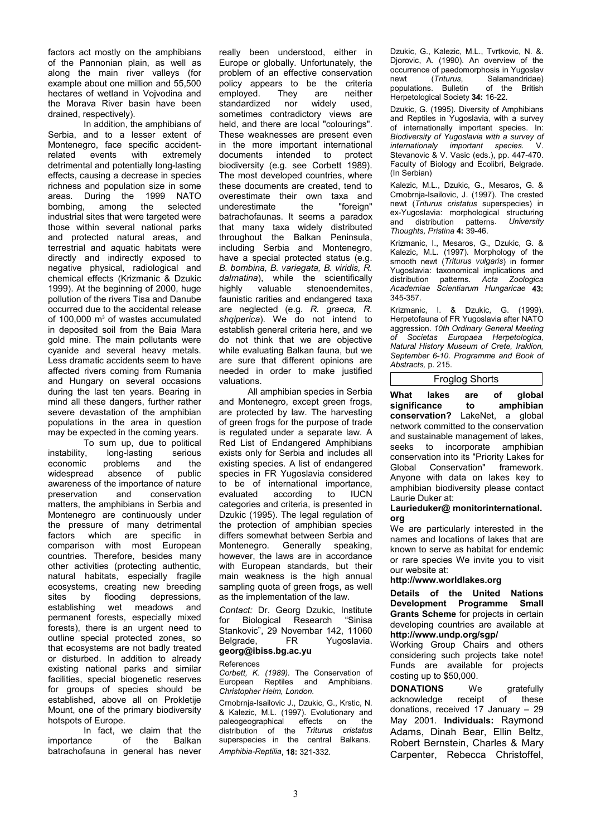factors act mostly on the amphibians of the Pannonian plain, as well as along the main river valleys (for example about one million and 55,500 hectares of wetland in Vojvodina and the Morava River basin have been drained, respectively).

In addition, the amphibians of Serbia, and to a lesser extent of Montenegro, face specific accidentrelated events with extremely detrimental and potentially long-lasting effects, causing a decrease in species richness and population size in some areas. During the 1999 NATO bombing, the selected among industrial sites that were targeted were those within several national parks and protected natural areas, and terrestrial and aquatic habitats were directly and indirectly exposed to negative physical, radiological and chemical effects (Krizmanic & Dzukic 1999). At the beginning of 2000, huge pollution of the rivers Tisa and Danube occurred due to the accidental release of 100,000 m<sup>3</sup> of wastes accumulated in deposited soil from the Baia Mara gold mine. The main pollutants were cyanide and several heavy metals. Less dramatic accidents seem to have affected rivers coming from Rumania and Hungary on several occasions during the last ten years. Bearing in mind all these dangers, further rather severe devastation of the amphibian populations in the area in question may be expected in the coming years.

To sum up, due to political instability, long-lasting serious problems economic and the public widespread absence of awareness of the importance of nature preservation and conservation matters, the amphibians in Serbia and Montenegro are continuously under the pressure of many detrimental factors which are specific in comparison with most European countries. Therefore, besides many other activities (protecting authentic, natural habitats, especially fragile ecosystems, creating new breeding flooding depressions. sites by wet establishing meadows and permanent forests, especially mixed forests), there is an urgent need to outline special protected zones, so that ecosystems are not badly treated or disturbed. In addition to already existing national parks and similar facilities, special biogenetic reserves for groups of species should be established, above all on Prokletije Mount, one of the primary biodiversity hotspots of Europe.

In fact, we claim that the importance of the Balkan batrachofauna in general has never really been understood, either in Europe or globally. Unfortunately, the problem of an effective conservation policy appears to be the criteria employed. They are neither standardized widely nor used. sometimes contradictory views are held, and there are local "colourings". These weaknesses are present even in the more important international documents intended to protect biodiversity (e.g. see Corbett 1989). The most developed countries, where these documents are created, tend to overestimate their own taxa and underestimate the "foreian" batrachofaunas. It seems a paradox that many taxa widely distributed throughout the Balkan Peninsula. including Serbia and Montenegro, have a special protected status (e.g. B. bombina, B. variegata, B. viridis, R. dalmatina), while the scientifically highly valuable stenoendemites, faunistic rarities and endangered taxa are neglected (e.g. R. graeca, R. shqiperica). We do not intend to establish general criteria here, and we do not think that we are objective while evaluating Balkan fauna, but we are sure that different opinions are needed in order to make justified valuations.

All amphibian species in Serbia and Montenegro, except green frogs, are protected by law. The harvesting of green frogs for the purpose of trade is regulated under a separate law. A Red List of Endangered Amphibians exists only for Serbia and includes all existing species. A list of endangered species in FR Yugoslavia considered to be of international importance, evaluated according  $f_{\Omega}$ **ILICN** categories and criteria, is presented in Dzukic (1995). The legal regulation of the protection of amphibian species differs somewhat between Serbia and Montenegro. Generally speaking. however, the laws are in accordance with European standards, but their main weakness is the high annual sampling quota of green frogs, as well as the implementation of the law.

Contact: Dr. Georg Dzukic, Institute Biological Research "Sinisa for Stankovic", 29 Novembar 142, 11060 Belarade. FR. Yugoslavia.

## georg@ibiss.bg.ac.yu

References

Corbett. K. (1989). The Conservation of European Reptiles and Amphibians. Christopher Helm, London.

Crnobrnia-Isailovic J. Dzukic G. Krstic N. & Kalezic, M.L. (1997). Evolutionary and paleogeographical effects on the distribution of the Triturus cristatus superspecies in the central Balkans. Amphibia-Reptilia, 18: 321-332.

Dzukic, G., Kalezic, M.L., Tvrtkovic, N. &. Djorovic, A. (1990). An overview of the occurrence of paedomorphosis in Yugoslav (Triturus, Salamandridae) newt populations. Bulletin of the British Herpetological Society 34: 16-22.

Dzukic, G. (1995). Diversity of Amphibians and Reptiles in Yugoslavia, with a survey of internationally important species. In: Biodiversity of Yugoslavia with a survey of internationaly important species.  $\vee$ Stevanovic & V. Vasic (eds.), pp. 447-470. Faculty of Biology and Ecolibri, Belgrade. (In Serbian)

Kalezic, M.L., Dzukic, G., Mesaros, G. & Crnobrnja-Isailovic, J. (1997). The crested newt (Triturus cristatus superspecies) in ex-Yugoslavia: morphological structuring and distribution patterns. University Thoughts, Pristina 4: 39-46.

Krizmanic, I., Mesaros, G., Dzukic, G. & Kalezic, M.L. (1997). Morphology of the smooth newt (Triturus vulgaris) in former Yugoslavia: taxonomical implications and patterns. Acta Zoologica distribution Academiae Scientiarum Hungaricae 43: 345-357.

Krizmanic. I. & Dzukic. G. (1999). Herpetofauna of FR Yugoslavia after NATO aggression. 10th Ordinary General Meeting  $\Omega$ f Societas Europaea Herpetologica, Natural History Museum of Crete. Iraklion. September 6-10. Programme and Book of Abstracts, p. 215.

# **Froglog Shorts**

What lakes global are of significance to amphibian conservation? LakeNet, a global network committed to the conservation and sustainable management of lakes, seeks  $t_0$ incorporate amphibian conservation into its "Priority Lakes for Global Conservation" framework. Anyone with data on lakes key to amphibian biodiversity please contact Laurie Duker at:

### Laurieduker@ monitorinternational. ora

We are particularly interested in the names and locations of lakes that are known to serve as habitat for endemic or rare species We invite you to visit our website at:

### http://www.worldlakes.org

Details of the United Nations Development Programme Small Grants Scheme for projects in certain developing countries are available at http://www.undp.org/sgp/

Working Group Chairs and others considering such projects take note! Funds are available for projects costing up to \$50,000.

**DONATIONS** gratefully **We** acknowledge receipt  $of$ these donations, received  $17$  January - 29 May 2001. Individuals: Raymond Adams, Dinah Bear, Ellin Beltz, Robert Bernstein, Charles & Mary Carpenter, Rebecca Christoffel,